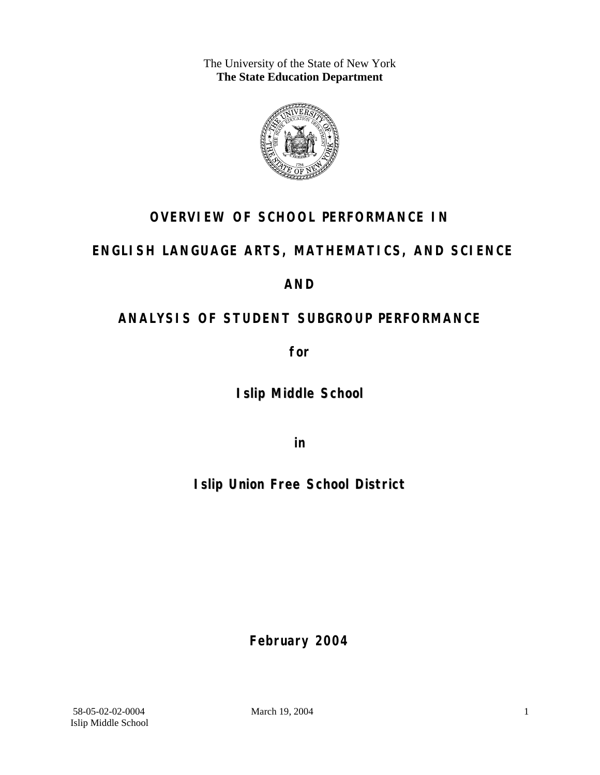The University of the State of New York **The State Education Department** 



# **OVERVIEW OF SCHOOL PERFORMANCE IN**

# **ENGLISH LANGUAGE ARTS, MATHEMATICS, AND SCIENCE**

# **AND**

# **ANALYSIS OF STUDENT SUBGROUP PERFORMANCE**

**for** 

**Islip Middle School**

**in** 

**Islip Union Free School District**

**February 2004**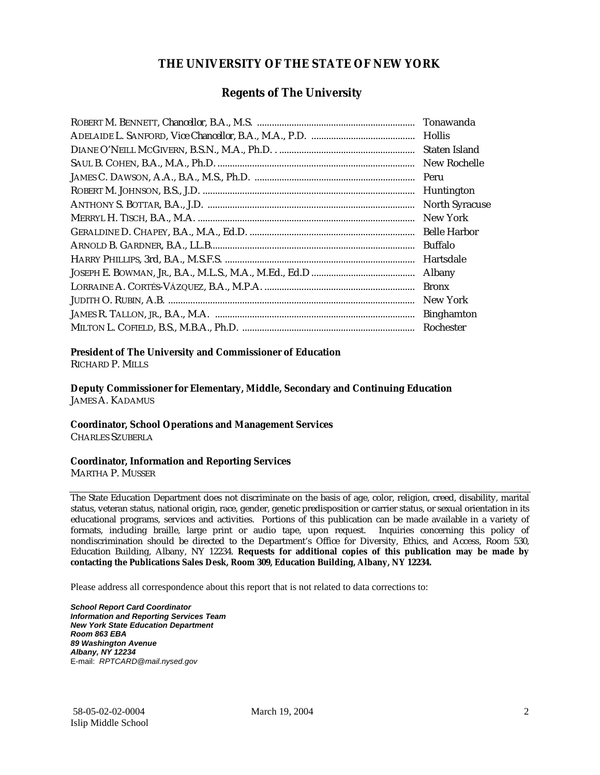### **THE UNIVERSITY OF THE STATE OF NEW YORK**

### **Regents of The University**

| Tonawanda             |
|-----------------------|
| <b>Hollis</b>         |
| Staten Island         |
| New Rochelle          |
| Peru                  |
| Huntington            |
| <b>North Syracuse</b> |
| New York              |
| <b>Belle Harbor</b>   |
| <b>Buffalo</b>        |
| Hartsdale             |
| Albany                |
| <b>Bronx</b>          |
| New York              |
| <b>Binghamton</b>     |
| Rochester             |

#### **President of The University and Commissioner of Education**

RICHARD P. MILLS

**Deputy Commissioner for Elementary, Middle, Secondary and Continuing Education**  JAMES A. KADAMUS

#### **Coordinator, School Operations and Management Services**

CHARLES SZUBERLA

#### **Coordinator, Information and Reporting Services**

MARTHA P. MUSSER

The State Education Department does not discriminate on the basis of age, color, religion, creed, disability, marital status, veteran status, national origin, race, gender, genetic predisposition or carrier status, or sexual orientation in its educational programs, services and activities. Portions of this publication can be made available in a variety of formats, including braille, large print or audio tape, upon request. Inquiries concerning this policy of nondiscrimination should be directed to the Department's Office for Diversity, Ethics, and Access, Room 530, Education Building, Albany, NY 12234. **Requests for additional copies of this publication may be made by contacting the Publications Sales Desk, Room 309, Education Building, Albany, NY 12234.** 

Please address all correspondence about this report that is not related to data corrections to:

*School Report Card Coordinator Information and Reporting Services Team New York State Education Department Room 863 EBA 89 Washington Avenue Albany, NY 12234*  E-mail: *RPTCARD@mail.nysed.gov*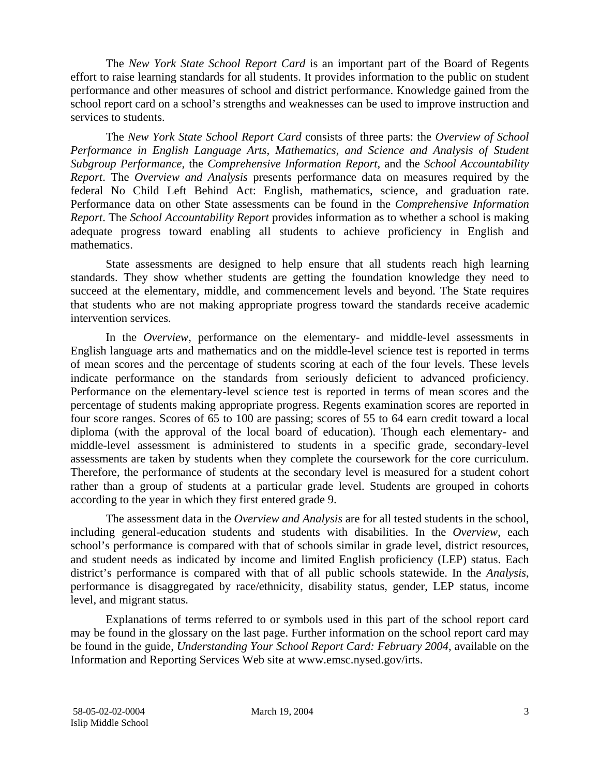The *New York State School Report Card* is an important part of the Board of Regents effort to raise learning standards for all students. It provides information to the public on student performance and other measures of school and district performance. Knowledge gained from the school report card on a school's strengths and weaknesses can be used to improve instruction and services to students.

The *New York State School Report Card* consists of three parts: the *Overview of School Performance in English Language Arts, Mathematics, and Science and Analysis of Student Subgroup Performance,* the *Comprehensive Information Report,* and the *School Accountability Report*. The *Overview and Analysis* presents performance data on measures required by the federal No Child Left Behind Act: English, mathematics, science, and graduation rate. Performance data on other State assessments can be found in the *Comprehensive Information Report*. The *School Accountability Report* provides information as to whether a school is making adequate progress toward enabling all students to achieve proficiency in English and mathematics.

State assessments are designed to help ensure that all students reach high learning standards. They show whether students are getting the foundation knowledge they need to succeed at the elementary, middle, and commencement levels and beyond. The State requires that students who are not making appropriate progress toward the standards receive academic intervention services.

In the *Overview*, performance on the elementary- and middle-level assessments in English language arts and mathematics and on the middle-level science test is reported in terms of mean scores and the percentage of students scoring at each of the four levels. These levels indicate performance on the standards from seriously deficient to advanced proficiency. Performance on the elementary-level science test is reported in terms of mean scores and the percentage of students making appropriate progress. Regents examination scores are reported in four score ranges. Scores of 65 to 100 are passing; scores of 55 to 64 earn credit toward a local diploma (with the approval of the local board of education). Though each elementary- and middle-level assessment is administered to students in a specific grade, secondary-level assessments are taken by students when they complete the coursework for the core curriculum. Therefore, the performance of students at the secondary level is measured for a student cohort rather than a group of students at a particular grade level. Students are grouped in cohorts according to the year in which they first entered grade 9.

The assessment data in the *Overview and Analysis* are for all tested students in the school, including general-education students and students with disabilities. In the *Overview*, each school's performance is compared with that of schools similar in grade level, district resources, and student needs as indicated by income and limited English proficiency (LEP) status. Each district's performance is compared with that of all public schools statewide. In the *Analysis*, performance is disaggregated by race/ethnicity, disability status, gender, LEP status, income level, and migrant status.

Explanations of terms referred to or symbols used in this part of the school report card may be found in the glossary on the last page. Further information on the school report card may be found in the guide, *Understanding Your School Report Card: February 2004*, available on the Information and Reporting Services Web site at www.emsc.nysed.gov/irts.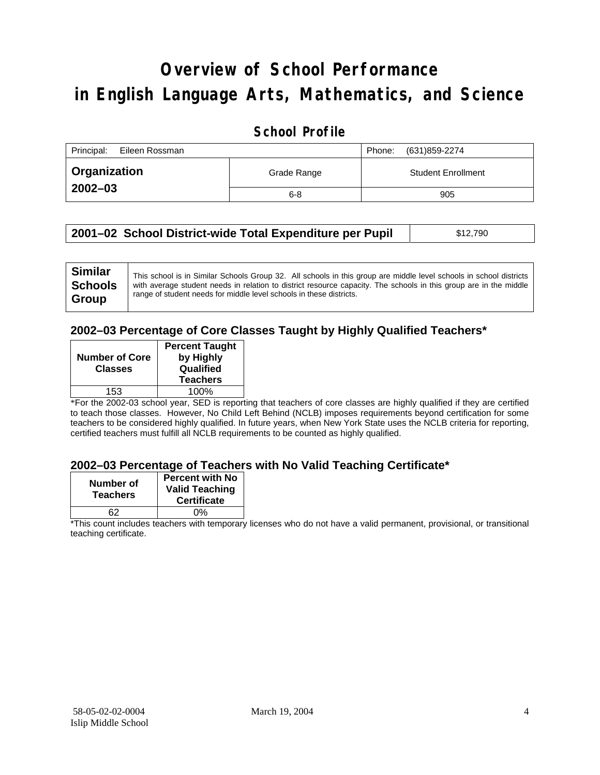# **Overview of School Performance in English Language Arts, Mathematics, and Science**

### **School Profile**

| Principal:<br>Eileen Rossman |             | (631)859-2274<br>Phone:   |
|------------------------------|-------------|---------------------------|
| <b>Organization</b>          | Grade Range | <b>Student Enrollment</b> |
| $2002 - 03$                  | $6 - 8$     | 905                       |

|  | 2001–02 School District-wide Total Expenditure per Pupil | \$12,790 |
|--|----------------------------------------------------------|----------|
|--|----------------------------------------------------------|----------|

#### **2002–03 Percentage of Core Classes Taught by Highly Qualified Teachers\***

| <b>Number of Core</b><br><b>Classes</b> | <b>Percent Taught</b><br>by Highly<br>Qualified<br><b>Teachers</b> |
|-----------------------------------------|--------------------------------------------------------------------|
| 153                                     | 100%                                                               |
|                                         |                                                                    |

\*For the 2002-03 school year, SED is reporting that teachers of core classes are highly qualified if they are certified to teach those classes. However, No Child Left Behind (NCLB) imposes requirements beyond certification for some teachers to be considered highly qualified. In future years, when New York State uses the NCLB criteria for reporting, certified teachers must fulfill all NCLB requirements to be counted as highly qualified.

#### **2002–03 Percentage of Teachers with No Valid Teaching Certificate\***

| Number of<br><b>Teachers</b> | <b>Percent with No</b><br><b>Valid Teaching</b><br><b>Certificate</b> |
|------------------------------|-----------------------------------------------------------------------|
| 62                           | ሰ%                                                                    |

\*This count includes teachers with temporary licenses who do not have a valid permanent, provisional, or transitional teaching certificate.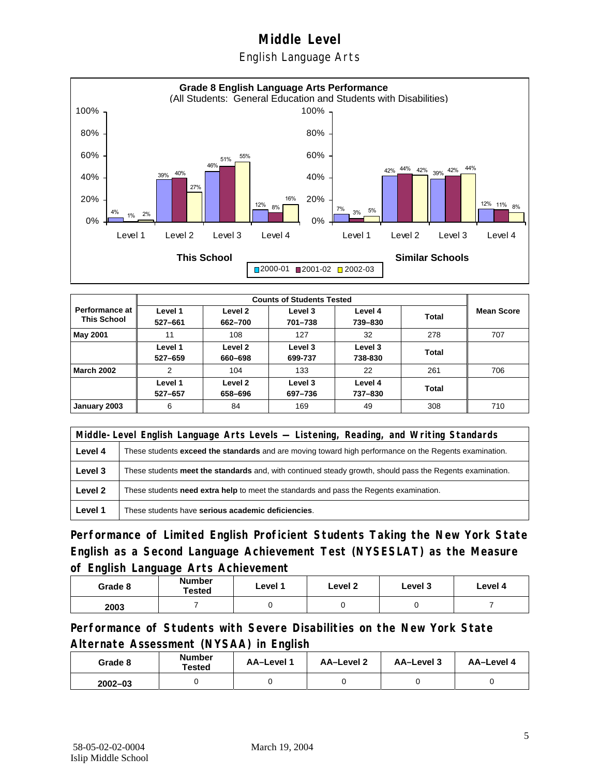### English Language Arts



| <b>Performance at</b><br><b>This School</b> | Level 1<br>527-661 | Level 2<br>662-700 | Level 3<br>701-738 | Level 4<br>739-830 | Total | <b>Mean Score</b> |
|---------------------------------------------|--------------------|--------------------|--------------------|--------------------|-------|-------------------|
| May 2001                                    | 11                 | 108                | 127                | 32                 | 278   | 707               |
|                                             | Level 1<br>527-659 | Level 2<br>660-698 | Level 3<br>699-737 | Level 3<br>738-830 | Total |                   |
| <b>March 2002</b>                           | 2                  | 104                | 133                | 22                 | 261   | 706               |
|                                             | Level 1<br>527-657 | Level 2<br>658-696 | Level 3<br>697-736 | Level 4<br>737-830 | Total |                   |
| January 2003                                | 6                  | 84                 | 169                | 49                 | 308   | 710               |

|         | Middle-Level English Language Arts Levels — Listening, Reading, and Writing Standards                         |  |  |  |
|---------|---------------------------------------------------------------------------------------------------------------|--|--|--|
| Level 4 | These students <b>exceed the standards</b> and are moving toward high performance on the Regents examination. |  |  |  |
| Level 3 | These students meet the standards and, with continued steady growth, should pass the Regents examination.     |  |  |  |
| Level 2 | These students need extra help to meet the standards and pass the Regents examination.                        |  |  |  |
| Level 1 | These students have serious academic deficiencies.                                                            |  |  |  |

**Performance of Limited English Proficient Students Taking the New York State English as a Second Language Achievement Test (NYSESLAT) as the Measure of English Language Arts Achievement**

| Grade 8 | Number<br>Tested | Level 1 | Level 2 | Level 3 | Level 4 |
|---------|------------------|---------|---------|---------|---------|
| 2003    |                  |         |         |         |         |

**Performance of Students with Severe Disabilities on the New York State Alternate Assessment (NYSAA) in English** 

| Grade 8     | Number<br>Tested | AA-Level 1 | AA-Level 2 | AA-Level 3 | AA-Level 4 |
|-------------|------------------|------------|------------|------------|------------|
| $2002 - 03$ |                  |            |            |            |            |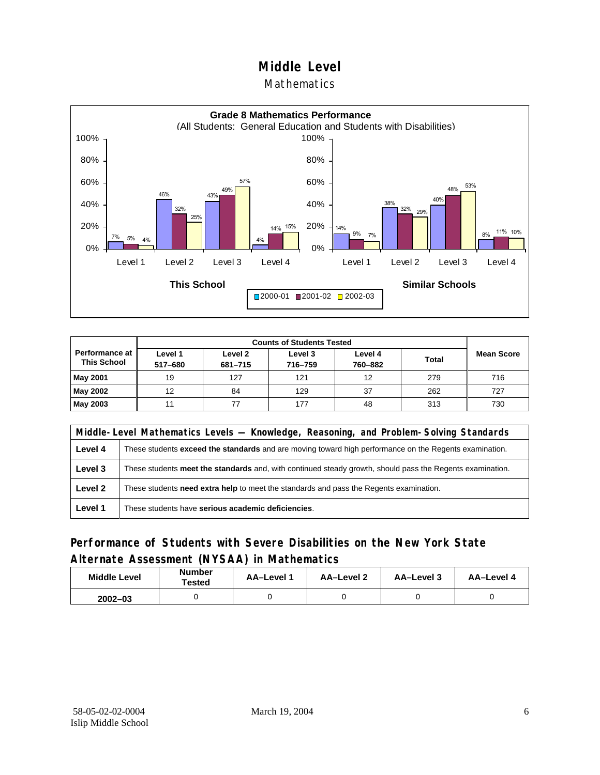#### Mathematics



|                                      |                    | <b>Counts of Students Tested</b> |                    |                    |              |                   |  |
|--------------------------------------|--------------------|----------------------------------|--------------------|--------------------|--------------|-------------------|--|
| Performance at<br><b>This School</b> | Level 1<br>517-680 | Level 2<br>681-715               | Level 3<br>716-759 | Level 4<br>760-882 | <b>Total</b> | <b>Mean Score</b> |  |
| <b>May 2001</b>                      | 19                 | 127                              | 121                | 12                 | 279          | 716               |  |
| May 2002                             | 12                 | 84                               | 129                | 37                 | 262          | 727               |  |
| May 2003                             | 11                 |                                  | 177                | 48                 | 313          | 730               |  |

|         | Middle-Level Mathematics Levels — Knowledge, Reasoning, and Problem-Solving Standards                     |  |  |
|---------|-----------------------------------------------------------------------------------------------------------|--|--|
| Level 4 | These students exceed the standards and are moving toward high performance on the Regents examination.    |  |  |
| Level 3 | These students meet the standards and, with continued steady growth, should pass the Regents examination. |  |  |
| Level 2 | These students <b>need extra help</b> to meet the standards and pass the Regents examination.             |  |  |
| Level 1 | These students have serious academic deficiencies.                                                        |  |  |

### **Performance of Students with Severe Disabilities on the New York State Alternate Assessment (NYSAA) in Mathematics**

| <b>Middle Level</b> | <b>Number</b><br>Tested | <b>AA–Level</b> 1 | AA-Level 2 | AA-Level 3 | AA-Level 4 |  |
|---------------------|-------------------------|-------------------|------------|------------|------------|--|
| $2002 - 03$         |                         |                   |            |            |            |  |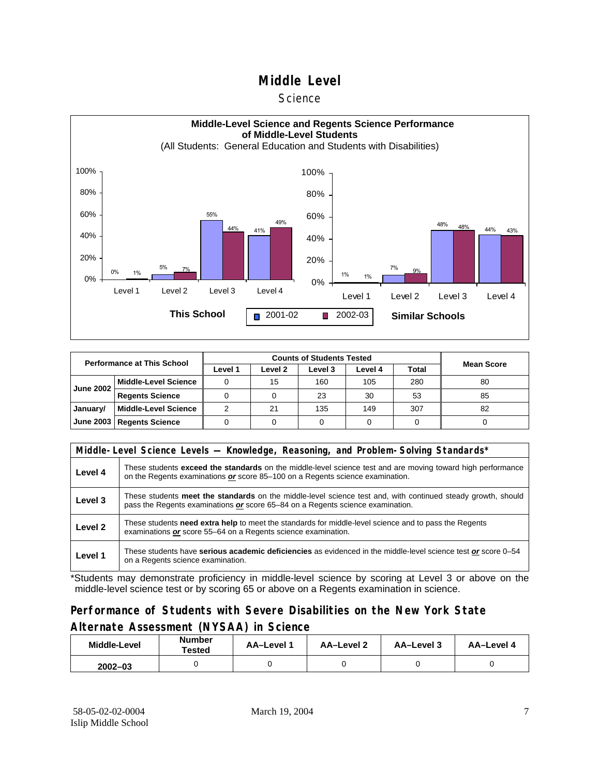#### **Science**



| <b>Performance at This School</b> |                             |         | <b>Mean Score</b> |         |         |       |    |
|-----------------------------------|-----------------------------|---------|-------------------|---------|---------|-------|----|
|                                   |                             | Level 1 | Level 2           | Level 3 | Level 4 | Total |    |
| <b>June 2002</b>                  | <b>Middle-Level Science</b> |         | 15                | 160     | 105     | 280   | 80 |
|                                   | <b>Regents Science</b>      |         |                   | 23      | 30      | 53    | 85 |
| January/                          | <b>Middle-Level Science</b> |         | 21                | 135     | 149     | 307   | 82 |
| <b>June 2003</b>                  | <b>Regents Science</b>      |         |                   |         |         |       |    |

|         | Middle-Level Science Levels — Knowledge, Reasoning, and Problem-Solving Standards*                                                                                                                  |  |  |  |  |  |  |  |
|---------|-----------------------------------------------------------------------------------------------------------------------------------------------------------------------------------------------------|--|--|--|--|--|--|--|
| Level 4 | These students <b>exceed the standards</b> on the middle-level science test and are moving toward high performance<br>on the Regents examinations or score 85-100 on a Regents science examination. |  |  |  |  |  |  |  |
| Level 3 | These students meet the standards on the middle-level science test and, with continued steady growth, should<br>pass the Regents examinations or score 65–84 on a Regents science examination.      |  |  |  |  |  |  |  |
| Level 2 | These students <b>need extra help</b> to meet the standards for middle-level science and to pass the Regents<br>examinations or score 55-64 on a Regents science examination.                       |  |  |  |  |  |  |  |
| Level 1 | These students have serious academic deficiencies as evidenced in the middle-level science test or score 0–54<br>on a Regents science examination.                                                  |  |  |  |  |  |  |  |

\*Students may demonstrate proficiency in middle-level science by scoring at Level 3 or above on the middle-level science test or by scoring 65 or above on a Regents examination in science.

### **Performance of Students with Severe Disabilities on the New York State Alternate Assessment (NYSAA) in Science**

| <b>Middle-Level</b> | <b>Number</b><br>Tested | AA-Level 1 | AA-Level 2 | AA-Level 3 | AA-Level 4 |  |
|---------------------|-------------------------|------------|------------|------------|------------|--|
| $2002 - 03$         |                         |            |            |            |            |  |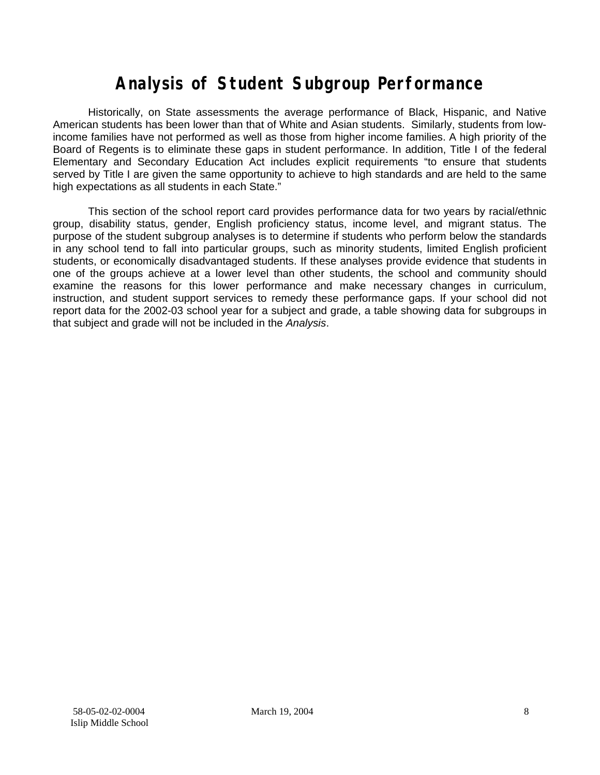# **Analysis of Student Subgroup Performance**

Historically, on State assessments the average performance of Black, Hispanic, and Native American students has been lower than that of White and Asian students. Similarly, students from lowincome families have not performed as well as those from higher income families. A high priority of the Board of Regents is to eliminate these gaps in student performance. In addition, Title I of the federal Elementary and Secondary Education Act includes explicit requirements "to ensure that students served by Title I are given the same opportunity to achieve to high standards and are held to the same high expectations as all students in each State."

This section of the school report card provides performance data for two years by racial/ethnic group, disability status, gender, English proficiency status, income level, and migrant status. The purpose of the student subgroup analyses is to determine if students who perform below the standards in any school tend to fall into particular groups, such as minority students, limited English proficient students, or economically disadvantaged students. If these analyses provide evidence that students in one of the groups achieve at a lower level than other students, the school and community should examine the reasons for this lower performance and make necessary changes in curriculum, instruction, and student support services to remedy these performance gaps. If your school did not report data for the 2002-03 school year for a subject and grade, a table showing data for subgroups in that subject and grade will not be included in the *Analysis*.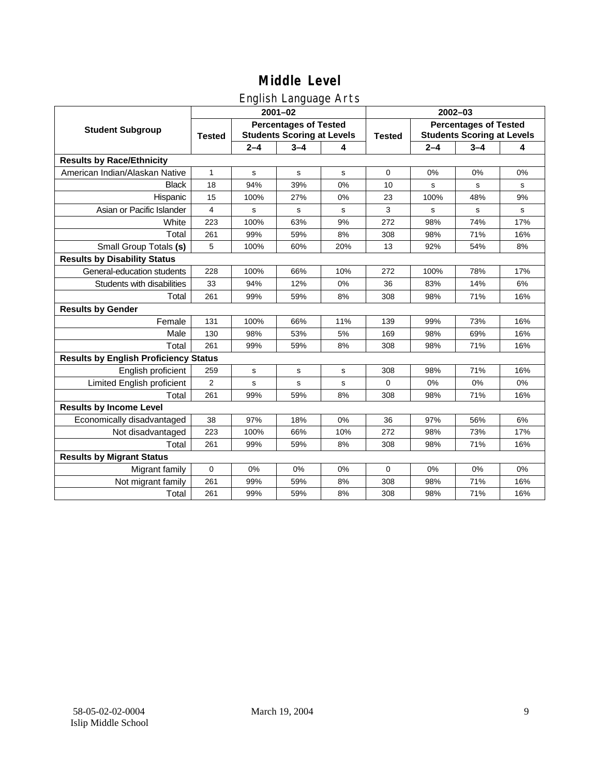### English Language Arts

|                                              |                |                                                                   | ັ<br>$2001 - 02$ |     | 2002-03       |                                                                   |         |     |  |
|----------------------------------------------|----------------|-------------------------------------------------------------------|------------------|-----|---------------|-------------------------------------------------------------------|---------|-----|--|
| <b>Student Subgroup</b>                      | <b>Tested</b>  | <b>Percentages of Tested</b><br><b>Students Scoring at Levels</b> |                  |     | <b>Tested</b> | <b>Percentages of Tested</b><br><b>Students Scoring at Levels</b> |         |     |  |
|                                              |                | $2 - 4$                                                           | $3 - 4$          | 4   |               | $2 - 4$                                                           | $3 - 4$ | 4   |  |
| <b>Results by Race/Ethnicity</b>             |                |                                                                   |                  |     |               |                                                                   |         |     |  |
| American Indian/Alaskan Native               | $\mathbf{1}$   | $\mathbf s$                                                       | $\mathbf s$      | s   | $\mathbf 0$   | 0%                                                                | 0%      | 0%  |  |
| <b>Black</b>                                 | 18             | 94%                                                               | 39%              | 0%  | 10            | s                                                                 | s       | s   |  |
| Hispanic                                     | 15             | 100%                                                              | 27%              | 0%  | 23            | 100%                                                              | 48%     | 9%  |  |
| Asian or Pacific Islander                    | 4              | s                                                                 | s                | s   | 3             | s                                                                 | s       | s   |  |
| White                                        | 223            | 100%                                                              | 63%              | 9%  | 272           | 98%                                                               | 74%     | 17% |  |
| Total                                        | 261            | 99%                                                               | 59%              | 8%  | 308           | 98%                                                               | 71%     | 16% |  |
| Small Group Totals (s)                       | 5              | 100%                                                              | 60%              | 20% | 13            | 92%                                                               | 54%     | 8%  |  |
| <b>Results by Disability Status</b>          |                |                                                                   |                  |     |               |                                                                   |         |     |  |
| General-education students                   | 228            | 100%                                                              | 66%              | 10% | 272           | 100%                                                              | 78%     | 17% |  |
| Students with disabilities                   | 33             | 94%                                                               | 12%              | 0%  | 36            | 83%                                                               | 14%     | 6%  |  |
| Total                                        | 261            | 99%                                                               | 59%              | 8%  | 308           | 98%                                                               | 71%     | 16% |  |
| <b>Results by Gender</b>                     |                |                                                                   |                  |     |               |                                                                   |         |     |  |
| Female                                       | 131            | 100%                                                              | 66%              | 11% | 139           | 99%                                                               | 73%     | 16% |  |
| Male                                         | 130            | 98%                                                               | 53%              | 5%  | 169           | 98%                                                               | 69%     | 16% |  |
| Total                                        | 261            | 99%                                                               | 59%              | 8%  | 308           | 98%                                                               | 71%     | 16% |  |
| <b>Results by English Proficiency Status</b> |                |                                                                   |                  |     |               |                                                                   |         |     |  |
| English proficient                           | 259            | $\mathbf s$                                                       | s                | s   | 308           | 98%                                                               | 71%     | 16% |  |
| Limited English proficient                   | $\overline{2}$ | $\mathbf s$                                                       | $\mathbf s$      | s   | 0             | 0%                                                                | 0%      | 0%  |  |
| Total                                        | 261            | 99%                                                               | 59%              | 8%  | 308           | 98%                                                               | 71%     | 16% |  |
| <b>Results by Income Level</b>               |                |                                                                   |                  |     |               |                                                                   |         |     |  |
| Economically disadvantaged                   | 38             | 97%                                                               | 18%              | 0%  | 36            | 97%                                                               | 56%     | 6%  |  |
| Not disadvantaged                            | 223            | 100%                                                              | 66%              | 10% | 272           | 98%                                                               | 73%     | 17% |  |
| Total                                        | 261            | 99%                                                               | 59%              | 8%  | 308           | 98%                                                               | 71%     | 16% |  |
| <b>Results by Migrant Status</b>             |                |                                                                   |                  |     |               |                                                                   |         |     |  |
| Migrant family                               | $\mathbf 0$    | 0%                                                                | 0%               | 0%  | 0             | 0%                                                                | 0%      | 0%  |  |
| Not migrant family                           | 261            | 99%                                                               | 59%              | 8%  | 308           | 98%                                                               | 71%     | 16% |  |
| Total                                        | 261            | 99%                                                               | 59%              | 8%  | 308           | 98%                                                               | 71%     | 16% |  |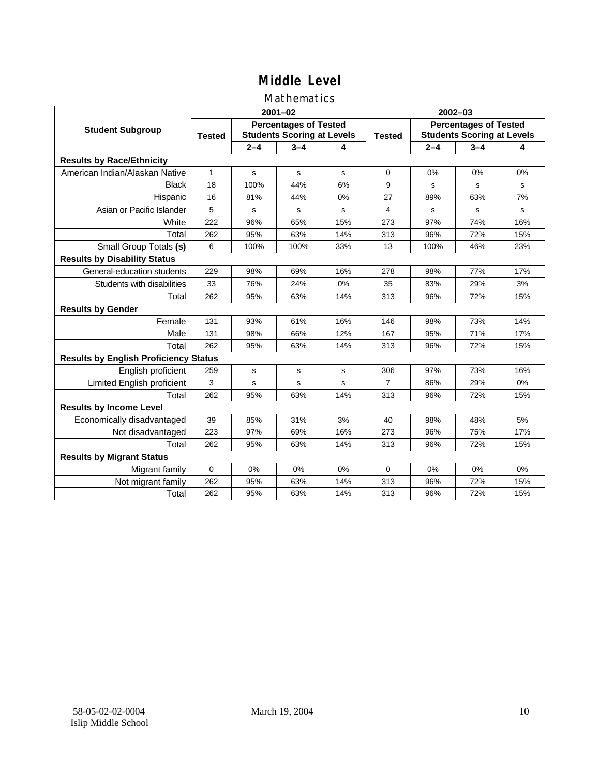### Mathematics

|                                              |               |             | $2001 - 02$                                                       |     | $2002 - 03$    |                                                                   |         |           |  |
|----------------------------------------------|---------------|-------------|-------------------------------------------------------------------|-----|----------------|-------------------------------------------------------------------|---------|-----------|--|
| <b>Student Subgroup</b>                      | <b>Tested</b> |             | <b>Percentages of Tested</b><br><b>Students Scoring at Levels</b> |     | <b>Tested</b>  | <b>Percentages of Tested</b><br><b>Students Scoring at Levels</b> |         |           |  |
|                                              |               | $2 - 4$     | $3 - 4$                                                           | 4   |                | $2 - 4$                                                           | $3 - 4$ | 4         |  |
| <b>Results by Race/Ethnicity</b>             |               |             |                                                                   |     |                |                                                                   |         |           |  |
| American Indian/Alaskan Native               | 1             | s           | s                                                                 | s   | $\Omega$       | 0%                                                                | 0%      | 0%        |  |
| <b>Black</b>                                 | 18            | 100%        | 44%                                                               | 6%  | 9              | S                                                                 | s       | s         |  |
| Hispanic                                     | 16            | 81%         | 44%                                                               | 0%  | 27             | 89%                                                               | 63%     | 7%        |  |
| Asian or Pacific Islander                    | 5             | s           | s                                                                 | s   | 4              | s                                                                 | s       | ${\tt s}$ |  |
| White                                        | 222           | 96%         | 65%                                                               | 15% | 273            | 97%                                                               | 74%     | 16%       |  |
| Total                                        | 262           | 95%         | 63%                                                               | 14% | 313            | 96%                                                               | 72%     | 15%       |  |
| Small Group Totals (s)                       | 6             | 100%        | 100%                                                              | 33% | 13             | 100%                                                              | 46%     | 23%       |  |
| <b>Results by Disability Status</b>          |               |             |                                                                   |     |                |                                                                   |         |           |  |
| General-education students                   | 229           | 98%         | 69%                                                               | 16% | 278            | 98%                                                               | 77%     | 17%       |  |
| Students with disabilities                   | 33            | 76%         | 24%                                                               | 0%  | 35             | 83%                                                               | 29%     | 3%        |  |
| Total                                        | 262           | 95%         | 63%                                                               | 14% | 313            | 96%                                                               | 72%     | 15%       |  |
| <b>Results by Gender</b>                     |               |             |                                                                   |     |                |                                                                   |         |           |  |
| Female                                       | 131           | 93%         | 61%                                                               | 16% | 146            | 98%                                                               | 73%     | 14%       |  |
| Male                                         | 131           | 98%         | 66%                                                               | 12% | 167            | 95%                                                               | 71%     | 17%       |  |
| Total                                        | 262           | 95%         | 63%                                                               | 14% | 313            | 96%                                                               | 72%     | 15%       |  |
| <b>Results by English Proficiency Status</b> |               |             |                                                                   |     |                |                                                                   |         |           |  |
| English proficient                           | 259           | $\mathbf s$ | s                                                                 | s   | 306            | 97%                                                               | 73%     | 16%       |  |
| Limited English proficient                   | 3             | s           | s                                                                 | s   | $\overline{7}$ | 86%                                                               | 29%     | 0%        |  |
| Total                                        | 262           | 95%         | 63%                                                               | 14% | 313            | 96%                                                               | 72%     | 15%       |  |
| <b>Results by Income Level</b>               |               |             |                                                                   |     |                |                                                                   |         |           |  |
| Economically disadvantaged                   | 39            | 85%         | 31%                                                               | 3%  | 40             | 98%                                                               | 48%     | 5%        |  |
| Not disadvantaged                            | 223           | 97%         | 69%                                                               | 16% | 273            | 96%                                                               | 75%     | 17%       |  |
| Total                                        | 262           | 95%         | 63%                                                               | 14% | 313            | 96%                                                               | 72%     | 15%       |  |
| <b>Results by Migrant Status</b>             |               |             |                                                                   |     |                |                                                                   |         |           |  |
| Migrant family                               | 0             | 0%          | 0%                                                                | 0%  | $\Omega$       | 0%                                                                | 0%      | 0%        |  |
| Not migrant family                           | 262           | 95%         | 63%                                                               | 14% | 313            | 96%                                                               | 72%     | 15%       |  |
| Total                                        | 262           | 95%         | 63%                                                               | 14% | 313            | 96%                                                               | 72%     | 15%       |  |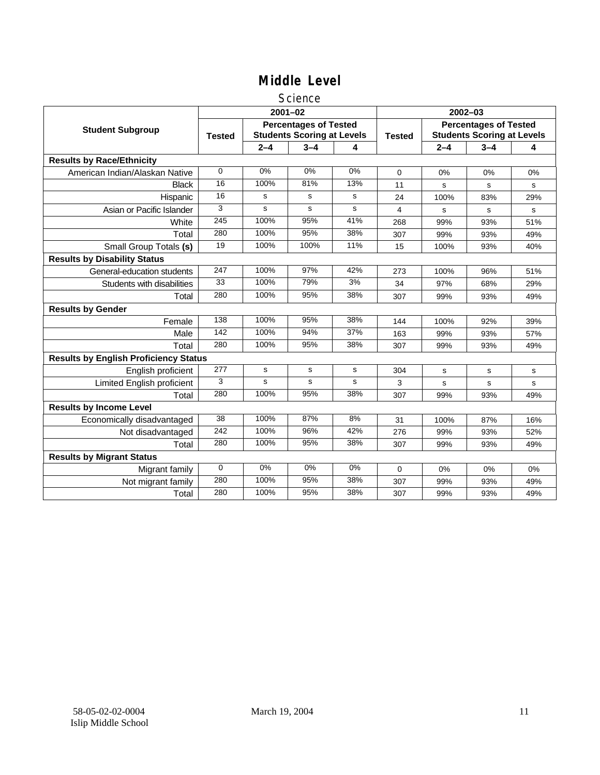#### **Science**

|                                              |               |             | $2001 - 02$                                                       |     | $2002 - 03$   |                                                                   |         |     |
|----------------------------------------------|---------------|-------------|-------------------------------------------------------------------|-----|---------------|-------------------------------------------------------------------|---------|-----|
| <b>Student Subgroup</b>                      | <b>Tested</b> |             | <b>Percentages of Tested</b><br><b>Students Scoring at Levels</b> |     | <b>Tested</b> | <b>Percentages of Tested</b><br><b>Students Scoring at Levels</b> |         |     |
|                                              |               | $2 - 4$     | $3 - 4$                                                           | 4   |               | $2 - 4$                                                           | $3 - 4$ | 4   |
| <b>Results by Race/Ethnicity</b>             |               |             |                                                                   |     |               |                                                                   |         |     |
| American Indian/Alaskan Native               | $\Omega$      | 0%          | 0%                                                                | 0%  | $\Omega$      | 0%                                                                | 0%      | 0%  |
| <b>Black</b>                                 | 16            | 100%        | 81%                                                               | 13% | 11            | s                                                                 | s       | s   |
| Hispanic                                     | 16            | s           | s                                                                 | s   | 24            | 100%                                                              | 83%     | 29% |
| Asian or Pacific Islander                    | 3             | s           | s                                                                 | s   | 4             | s                                                                 | s       | s   |
| White                                        | 245           | 100%        | 95%                                                               | 41% | 268           | 99%                                                               | 93%     | 51% |
| Total                                        | 280           | 100%        | 95%                                                               | 38% | 307           | 99%                                                               | 93%     | 49% |
| Small Group Totals (s)                       | 19            | 100%        | 100%                                                              | 11% | 15            | 100%                                                              | 93%     | 40% |
| <b>Results by Disability Status</b>          |               |             |                                                                   |     |               |                                                                   |         |     |
| General-education students                   | 247           | 100%        | 97%                                                               | 42% | 273           | 100%                                                              | 96%     | 51% |
| Students with disabilities                   | 33            | 100%        | 79%                                                               | 3%  | 34            | 97%                                                               | 68%     | 29% |
| Total                                        | 280           | 100%        | 95%                                                               | 38% | 307           | 99%                                                               | 93%     | 49% |
| <b>Results by Gender</b>                     |               |             |                                                                   |     |               |                                                                   |         |     |
| Female                                       | 138           | 100%        | 95%                                                               | 38% | 144           | 100%                                                              | 92%     | 39% |
| Male                                         | 142           | 100%        | 94%                                                               | 37% | 163           | 99%                                                               | 93%     | 57% |
| Total                                        | 280           | 100%        | 95%                                                               | 38% | 307           | 99%                                                               | 93%     | 49% |
| <b>Results by English Proficiency Status</b> |               |             |                                                                   |     |               |                                                                   |         |     |
| English proficient                           | 277           | $\mathbf s$ | $\mathbf s$                                                       | s   | 304           | s                                                                 | s       | s   |
| Limited English proficient                   | 3             | s           | s                                                                 | s   | 3             | s                                                                 | s       | s   |
| Total                                        | 280           | 100%        | 95%                                                               | 38% | 307           | 99%                                                               | 93%     | 49% |
| <b>Results by Income Level</b>               |               |             |                                                                   |     |               |                                                                   |         |     |
| Economically disadvantaged                   | 38            | 100%        | 87%                                                               | 8%  | 31            | 100%                                                              | 87%     | 16% |
| Not disadvantaged                            | 242           | 100%        | 96%                                                               | 42% | 276           | 99%                                                               | 93%     | 52% |
| Total                                        | 280           | 100%        | 95%                                                               | 38% | 307           | 99%                                                               | 93%     | 49% |
| <b>Results by Migrant Status</b>             |               |             |                                                                   |     |               |                                                                   |         |     |
| Migrant family                               | $\mathbf 0$   | 0%          | 0%                                                                | 0%  | 0             | 0%                                                                | 0%      | 0%  |
| Not migrant family                           | 280           | 100%        | 95%                                                               | 38% | 307           | 99%                                                               | 93%     | 49% |
| Total                                        | 280           | 100%        | 95%                                                               | 38% | 307           | 99%                                                               | 93%     | 49% |